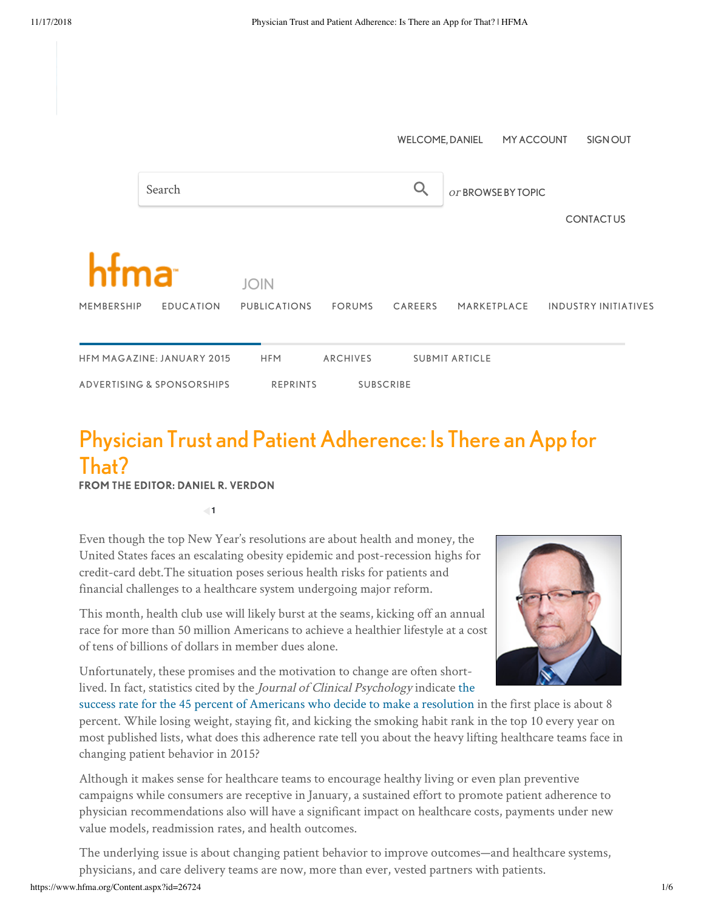|                                   |                            |                                     |                 | <b>WELCOME, DANIEL</b> |                       | <b>MY ACCOUNT</b> |  | SIGN OUT                    |
|-----------------------------------|----------------------------|-------------------------------------|-----------------|------------------------|-----------------------|-------------------|--|-----------------------------|
|                                   | Search                     |                                     |                 |                        | or BROWSE BY TOPIC    |                   |  |                             |
|                                   |                            |                                     |                 |                        |                       |                   |  | <b>CONTACTUS</b>            |
| htma                              |                            |                                     |                 |                        |                       |                   |  |                             |
| MEMBERSHIP                        | <b>EDUCATION</b>           | <b>JOIN</b><br><b>PUBLICATIONS</b>  | <b>FORUMS</b>   | CAREERS                |                       | MARKETPLACE       |  | <b>INDUSTRY INITIATIVES</b> |
|                                   |                            |                                     |                 |                        |                       |                   |  |                             |
| <b>HFM MAGAZINE: JANUARY 2015</b> |                            | <b>HFM</b>                          | <b>ARCHIVES</b> |                        | <b>SUBMIT ARTICLE</b> |                   |  |                             |
|                                   | ADVERTISING & SPONSORSHIPS | <b>REPRINTS</b><br><b>SUBSCRIBE</b> |                 |                        |                       |                   |  |                             |

# Physician Trust and Patient Adherence: Is There an App for That?

## FROM THE EDITOR: DANIEL R. VERDON

**1**

Even though the top New Year's resolutions are about health and money, the United States faces an escalating obesity epidemic and post-recession highs for credit-card debt.The situation poses serious health risks for patients and financial challenges to a healthcare system undergoing major reform.

This month, health club use will likely burst at the seams, kicking off an annual race for more than 50 million Americans to achieve a healthier lifestyle at a cost of tens of billions of dollars in member dues alone.

Unfortunately, these promises and the motivation to change are often shortlived. In fact, statistics cited by the Journal of Clinical Psychology indicate the



[success rate for the 45 percent of Americans who decide to make a resolution](http://www.statisticbrain.com/new-years-resolution-statistics/) in the first place is about 8 percent. While losing weight, staying fit, and kicking the smoking habit rank in the top 10 every year on most published lists, what does this adherence rate tell you about the heavy lifting healthcare teams face in changing patient behavior in 2015?

Although it makes sense for healthcare teams to encourage healthy living or even plan preventive campaigns while consumers are receptive in January, a sustained effort to promote patient adherence to physician recommendations also will have a significant impact on healthcare costs, payments under new value models, readmission rates, and health outcomes.

The underlying issue is about changing patient behavior to improve outcomes—and healthcare systems, physicians, and care delivery teams are now, more than ever, vested partners with patients.